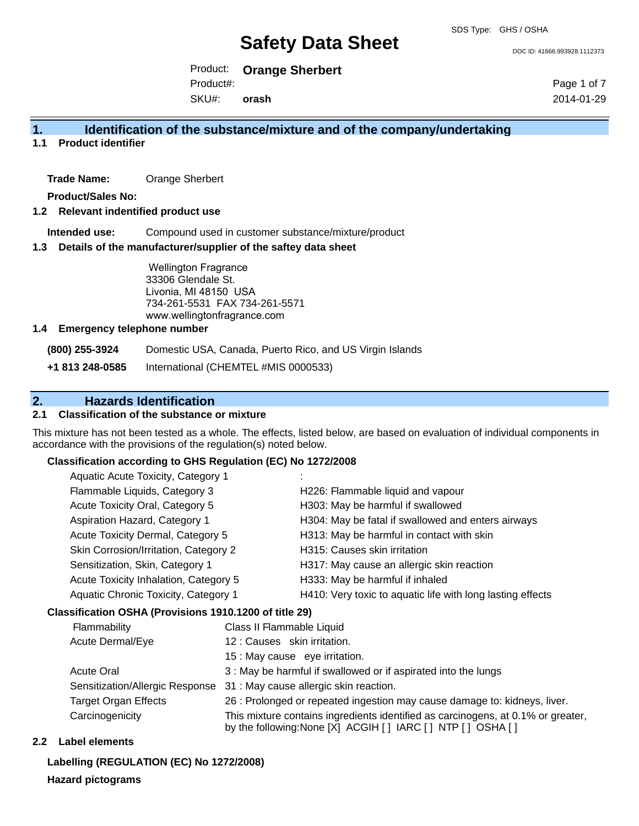DOC ID: 41666.993928.1112373

Product: **Orange Sherbert** Product#:

SKU#: **orash** Page 1 of 7 2014-01-29

## **1. Identification of the substance/mixture and of the company/undertaking**

## **1.1 Product identifier**

**Trade Name:** Orange Sherbert

**Product/Sales No:**

## **1.2 Relevant indentified product use**

**Intended use:** Compound used in customer substance/mixture/product

### **1.3 Details of the manufacturer/supplier of the saftey data sheet**

Wellington Fragrance 33306 Glendale St. Livonia, MI 48150 USA 734-261-5531 FAX 734-261-5571 www.wellingtonfragrance.com

### **1.4 Emergency telephone number**

**(800) 255-3924** Domestic USA, Canada, Puerto Rico, and US Virgin Islands

**+1 813 248-0585** International (CHEMTEL #MIS 0000533)

## **2. Hazards Identification**

## **2.1 Classification of the substance or mixture**

This mixture has not been tested as a whole. The effects, listed below, are based on evaluation of individual components in accordance with the provisions of the regulation(s) noted below.

### **Classification according to GHS Regulation (EC) No 1272/2008**

| Aquatic Acute Toxicity, Category 1    |                                                            |
|---------------------------------------|------------------------------------------------------------|
| Flammable Liquids, Category 3         | H226: Flammable liquid and vapour                          |
| Acute Toxicity Oral, Category 5       | H303: May be harmful if swallowed                          |
| Aspiration Hazard, Category 1         | H304: May be fatal if swallowed and enters airways         |
| Acute Toxicity Dermal, Category 5     | H313: May be harmful in contact with skin                  |
| Skin Corrosion/Irritation, Category 2 | H315: Causes skin irritation                               |
| Sensitization, Skin, Category 1       | H317: May cause an allergic skin reaction                  |
| Acute Toxicity Inhalation, Category 5 | H333: May be harmful if inhaled                            |
| Aquatic Chronic Toxicity, Category 1  | H410: Very toxic to aquatic life with long lasting effects |
|                                       |                                                            |

## **Classification OSHA (Provisions 1910.1200 of title 29)**

| Flammability                    | Class II Flammable Liquid                                                                                                                          |  |
|---------------------------------|----------------------------------------------------------------------------------------------------------------------------------------------------|--|
| Acute Dermal/Eye                | 12: Causes skin irritation.                                                                                                                        |  |
|                                 | 15 : May cause eye irritation.                                                                                                                     |  |
| <b>Acute Oral</b>               | 3 : May be harmful if swallowed or if aspirated into the lungs                                                                                     |  |
| Sensitization/Allergic Response | 31 : May cause allergic skin reaction.                                                                                                             |  |
| <b>Target Organ Effects</b>     | 26 : Prolonged or repeated ingestion may cause damage to: kidneys, liver.                                                                          |  |
| Carcinogenicity                 | This mixture contains ingredients identified as carcinogens, at 0.1% or greater,<br>by the following: None [X] ACGIH [ ] IARC [ ] NTP [ ] OSHA [ ] |  |

## **2.2 Label elements**

**Labelling (REGULATION (EC) No 1272/2008)**

### **Hazard pictograms**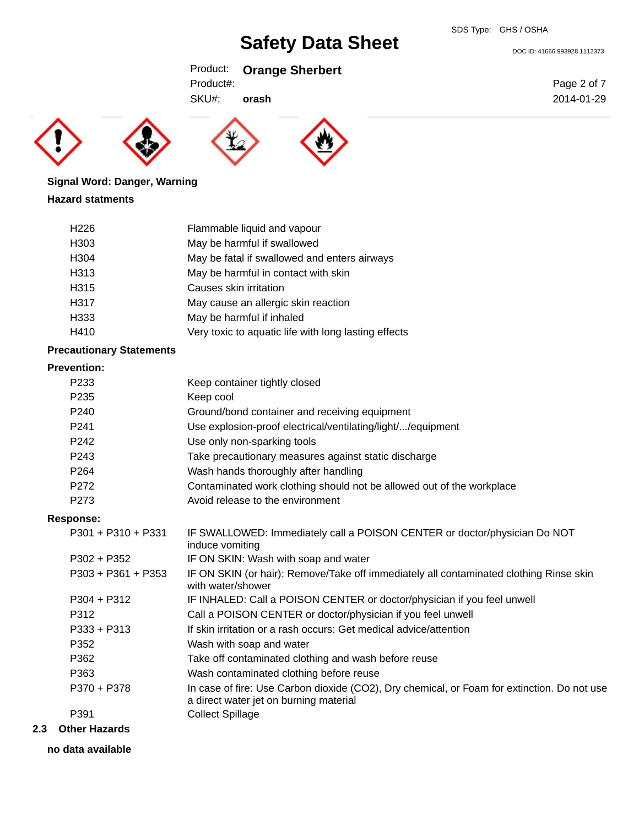Product: **Orange Sherbert**

Product#:

SKU#: **orash**







## **Signal Word: Danger, Warning Hazard statments**

| H <sub>226</sub> | Flammable liquid and vapour                          |
|------------------|------------------------------------------------------|
| H <sub>303</sub> | May be harmful if swallowed                          |
| H <sub>304</sub> | May be fatal if swallowed and enters airways         |
| H313             | May be harmful in contact with skin                  |
| H315             | Causes skin irritation                               |
| H317             | May cause an allergic skin reaction                  |
| H333             | May be harmful if inhaled                            |
| H410             | Very toxic to aquatic life with long lasting effects |

## **Precautionary Statements**

## **Prevention:**

|     | P <sub>233</sub>     | Keep container tightly closed                                                                                                         |
|-----|----------------------|---------------------------------------------------------------------------------------------------------------------------------------|
|     | P <sub>235</sub>     | Keep cool                                                                                                                             |
|     | P <sub>240</sub>     | Ground/bond container and receiving equipment                                                                                         |
|     | P <sub>241</sub>     | Use explosion-proof electrical/ventilating/light//equipment                                                                           |
|     | P <sub>242</sub>     | Use only non-sparking tools                                                                                                           |
|     | P <sub>243</sub>     | Take precautionary measures against static discharge                                                                                  |
|     | P <sub>264</sub>     | Wash hands thoroughly after handling                                                                                                  |
|     | P272                 | Contaminated work clothing should not be allowed out of the workplace                                                                 |
|     | P273                 | Avoid release to the environment                                                                                                      |
|     | <b>Response:</b>     |                                                                                                                                       |
|     | P301 + P310 + P331   | IF SWALLOWED: Immediately call a POISON CENTER or doctor/physician Do NOT<br>induce vomiting                                          |
|     | $P302 + P352$        | IF ON SKIN: Wash with soap and water                                                                                                  |
|     | P303 + P361 + P353   | IF ON SKIN (or hair): Remove/Take off immediately all contaminated clothing Rinse skin<br>with water/shower                           |
|     | $P304 + P312$        | IF INHALED: Call a POISON CENTER or doctor/physician if you feel unwell                                                               |
|     | P312                 | Call a POISON CENTER or doctor/physician if you feel unwell                                                                           |
|     | $P333 + P313$        | If skin irritation or a rash occurs: Get medical advice/attention                                                                     |
|     | P352                 | Wash with soap and water                                                                                                              |
|     | P362                 | Take off contaminated clothing and wash before reuse                                                                                  |
|     | P363                 | Wash contaminated clothing before reuse                                                                                               |
|     | P370 + P378          | In case of fire: Use Carbon dioxide (CO2), Dry chemical, or Foam for extinction. Do not use<br>a direct water jet on burning material |
|     | P391                 | <b>Collect Spillage</b>                                                                                                               |
| 2.3 | <b>Other Hazards</b> |                                                                                                                                       |

- - **no data available**

DOC ID: 41666.993928.1112373

Page 2 of 7 2014-01-29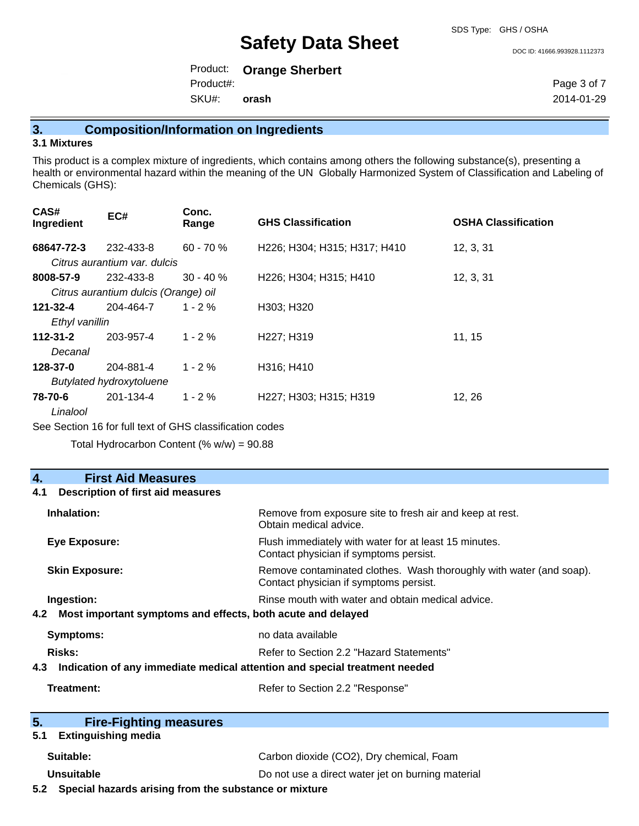#### DOC ID: 41666.993928.1112373

Product: **Orange Sherbert** SKU#: Product#: **orash**

Page 3 of 7 2014-01-29

**3. Composition/Information on Ingredients**

### **3.1 Mixtures**

This product is a complex mixture of ingredients, which contains among others the following substance(s), presenting a health or environmental hazard within the meaning of the UN Globally Harmonized System of Classification and Labeling of Chemicals (GHS):

| CAS#<br>Ingredient  | EC#                                  | Conc.<br>Range | <b>GHS Classification</b>    | <b>OSHA Classification</b> |
|---------------------|--------------------------------------|----------------|------------------------------|----------------------------|
| 68647-72-3          | 232-433-8                            | $60 - 70%$     | H226; H304; H315; H317; H410 | 12, 3, 31                  |
|                     | Citrus aurantium var. dulcis         |                |                              |                            |
| 8008-57-9           | 232-433-8                            | $30 - 40 \%$   | H226; H304; H315; H410       | 12, 3, 31                  |
|                     | Citrus aurantium dulcis (Orange) oil |                |                              |                            |
| 121-32-4            | 204-464-7                            | $1 - 2\%$      | H303; H320                   |                            |
| Ethyl vanillin      |                                      |                |                              |                            |
| $112 - 31 - 2$      | 203-957-4                            | $1 - 2\%$      | H227; H319                   | 11, 15                     |
| Decanal             |                                      |                |                              |                            |
| 128-37-0            | 204-881-4                            | $1 - 2\%$      | H316: H410                   |                            |
|                     | <b>Butylated hydroxytoluene</b>      |                |                              |                            |
| 78-70-6<br>Linalool | 201-134-4                            | $1 - 2%$       | H227; H303; H315; H319       | 12, 26                     |

See Section 16 for full text of GHS classification codes

Total Hydrocarbon Content  $(% \mathcal{O}_{N})$  = 90.88

#### **4. First Aid Measures 4.1 Description of first aid measures**

| Inhalation:                                                                       | Remove from exposure site to fresh air and keep at rest.<br>Obtain medical advice.                            |  |
|-----------------------------------------------------------------------------------|---------------------------------------------------------------------------------------------------------------|--|
| Eye Exposure:                                                                     | Flush immediately with water for at least 15 minutes.<br>Contact physician if symptoms persist.               |  |
| <b>Skin Exposure:</b>                                                             | Remove contaminated clothes. Wash thoroughly with water (and soap).<br>Contact physician if symptoms persist. |  |
| Ingestion:<br>Most important symptoms and effects, both acute and delayed<br>4.2  | Rinse mouth with water and obtain medical advice.                                                             |  |
| Symptoms:                                                                         | no data available                                                                                             |  |
| Risks:<br>Refer to Section 2.2 "Hazard Statements"                                |                                                                                                               |  |
| Indication of any immediate medical attention and special treatment needed<br>4.3 |                                                                                                               |  |
| Treatment:                                                                        | Refer to Section 2.2 "Response"                                                                               |  |

| 5. | <b>Fire-Fighting measures</b> |  |
|----|-------------------------------|--|
|    |                               |  |
|    | E 4 Evtimentaline madia       |  |

### **5.1 Extinguishing media**

| Suitable: | Carbon dioxide (CO2), Dry chemical, Foam |
|-----------|------------------------------------------|
|           |                                          |

**Unsuitable Do not use a direct water jet on burning material 5.2 Special hazards arising from the substance or mixture**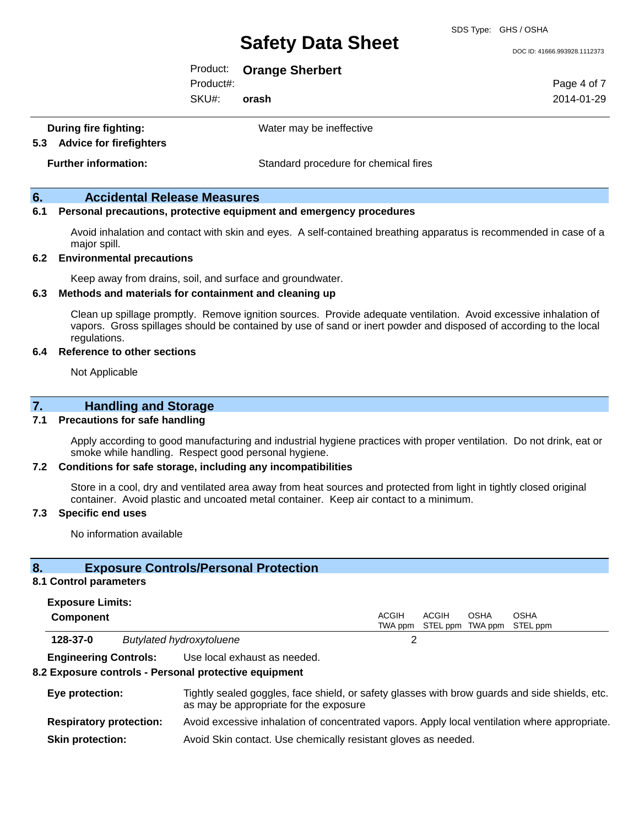SDS Type: GHS / OSHA

DOC ID: 41666.993928.1112373

Product: **Orange Sherbert**

Product#:

SKU#: **orash** Page 4 of 7 2014-01-29

**During fire fighting:** Water may be ineffective

**5.3 Advice for firefighters**

**Further information:** Standard procedure for chemical fires

## **6. Accidental Release Measures**

## **6.1 Personal precautions, protective equipment and emergency procedures**

Avoid inhalation and contact with skin and eyes. A self-contained breathing apparatus is recommended in case of a major spill.

## **6.2 Environmental precautions**

Keep away from drains, soil, and surface and groundwater.

### **6.3 Methods and materials for containment and cleaning up**

Clean up spillage promptly. Remove ignition sources. Provide adequate ventilation. Avoid excessive inhalation of vapors. Gross spillages should be contained by use of sand or inert powder and disposed of according to the local regulations.

#### **6.4 Reference to other sections**

Not Applicable

## **7. Handling and Storage**

## **7.1 Precautions for safe handling**

Apply according to good manufacturing and industrial hygiene practices with proper ventilation. Do not drink, eat or smoke while handling. Respect good personal hygiene.

### **7.2 Conditions for safe storage, including any incompatibilities**

Store in a cool, dry and ventilated area away from heat sources and protected from light in tightly closed original container. Avoid plastic and uncoated metal container. Keep air contact to a minimum.

### **7.3 Specific end uses**

No information available

## **8. Exposure Controls/Personal Protection**

#### **8.1 Control parameters**

| <b>Exposure Limits:</b> |  |
|-------------------------|--|
|-------------------------|--|

| <b>Component</b> |                                 | ACGIH<br>ACGIH<br><b>OSHA</b><br>OSHA<br>TWA ppm STEL ppm TWA ppm STEL ppm |
|------------------|---------------------------------|----------------------------------------------------------------------------|
| 128-37-0         | <b>Butylated hydroxytoluene</b> |                                                                            |

**Engineering Controls:** Use local exhaust as needed.

### **8.2 Exposure controls - Personal protective equipment**

| Eye protection:                | Tightly sealed goggles, face shield, or safety glasses with brow guards and side shields, etc.<br>as may be appropriate for the exposure |  |
|--------------------------------|------------------------------------------------------------------------------------------------------------------------------------------|--|
| <b>Respiratory protection:</b> | Avoid excessive inhalation of concentrated vapors. Apply local ventilation where appropriate.                                            |  |
| <b>Skin protection:</b>        | Avoid Skin contact. Use chemically resistant gloves as needed.                                                                           |  |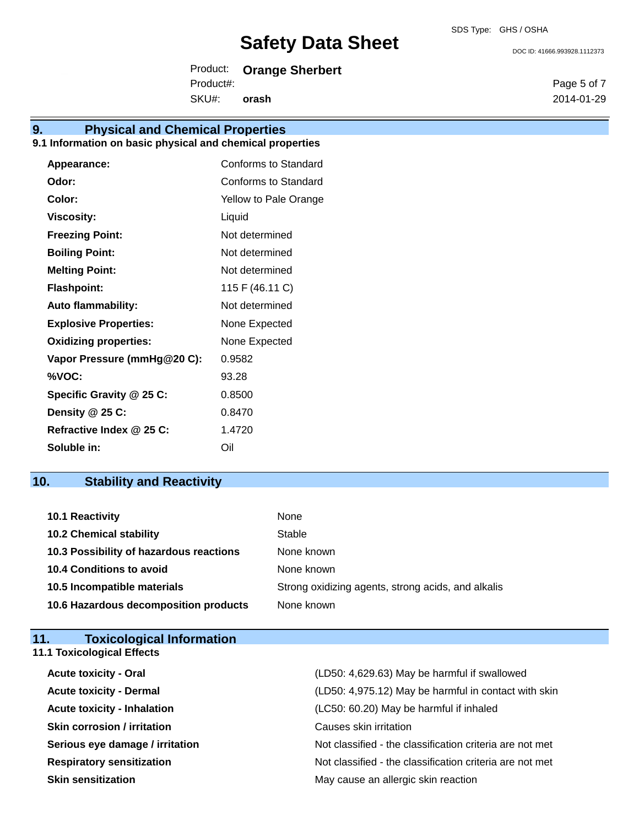Product: **Orange Sherbert** SKU#: Product#: **orash**

## **9. Physical and Chemical Properties**

## **9.1 Information on basic physical and chemical properties**

| Appearance:                  | Conforms to Standard  |
|------------------------------|-----------------------|
| Odor:                        | Conforms to Standard  |
| Color:                       | Yellow to Pale Orange |
| <b>Viscosity:</b>            | Liquid                |
| <b>Freezing Point:</b>       | Not determined        |
| <b>Boiling Point:</b>        | Not determined        |
| <b>Melting Point:</b>        | Not determined        |
| <b>Flashpoint:</b>           | 115 F (46.11 C)       |
| <b>Auto flammability:</b>    | Not determined        |
| <b>Explosive Properties:</b> | None Expected         |
| <b>Oxidizing properties:</b> | None Expected         |
| Vapor Pressure (mmHg@20 C):  | 0.9582                |
| %VOC:                        | 93.28                 |
| Specific Gravity @ 25 C:     | 0.8500                |
| Density @ 25 C:              | 0.8470                |
| Refractive Index @ 25 C:     | 1.4720                |
| Soluble in:                  | Oil                   |

## **10. Stability and Reactivity**

| <b>10.1 Reactivity</b>                  | None                                               |
|-----------------------------------------|----------------------------------------------------|
| <b>10.2 Chemical stability</b>          | Stable                                             |
| 10.3 Possibility of hazardous reactions | None known                                         |
| <b>10.4 Conditions to avoid</b>         | None known                                         |
| 10.5 Incompatible materials             | Strong oxidizing agents, strong acids, and alkalis |
| 10.6 Hazardous decomposition products   | None known                                         |

| <b>Toxicological Information</b><br>11. |                                                          |
|-----------------------------------------|----------------------------------------------------------|
| <b>11.1 Toxicological Effects</b>       |                                                          |
| <b>Acute toxicity - Oral</b>            | (LD50: 4,629.63) May be harmful if swallowed             |
| <b>Acute toxicity - Dermal</b>          | (LD50: 4,975.12) May be harmful in contact with skin     |
| <b>Acute toxicity - Inhalation</b>      | (LC50: 60.20) May be harmful if inhaled                  |
| <b>Skin corrosion / irritation</b>      | Causes skin irritation                                   |
| Serious eye damage / irritation         | Not classified - the classification criteria are not met |
| <b>Respiratory sensitization</b>        | Not classified - the classification criteria are not met |
| <b>Skin sensitization</b>               | May cause an allergic skin reaction                      |

DOC ID: 41666.993928.1112373

Page 5 of 7 2014-01-29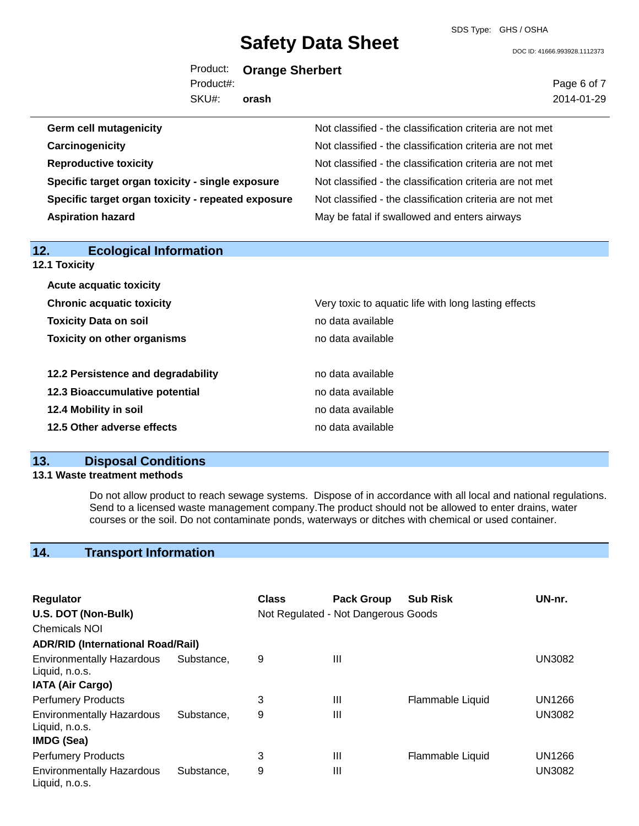SDS Type: GHS / OSHA

DOC ID: 41666.993928.1112373

Page 6 of 7 2014-01-29

Product: **Orange Sherbert** Product#:

SKU#: **orash**

| <b>Germ cell mutagenicity</b>                      | Not classified - the classification criteria are not met |
|----------------------------------------------------|----------------------------------------------------------|
| Carcinogenicity                                    | Not classified - the classification criteria are not met |
| <b>Reproductive toxicity</b>                       | Not classified - the classification criteria are not met |
| Specific target organ toxicity - single exposure   | Not classified - the classification criteria are not met |
| Specific target organ toxicity - repeated exposure | Not classified - the classification criteria are not met |
| <b>Aspiration hazard</b>                           | May be fatal if swallowed and enters airways             |
|                                                    |                                                          |
| 12.<br><b>Ecological Information</b>               |                                                          |
| 12.1 Toxicity                                      |                                                          |
| <b>Acute acquatic toxicity</b>                     |                                                          |
| <b>Chronic acquatic toxicity</b>                   | Very toxic to aquatic life with long lasting effects     |
| <b>Toxicity Data on soil</b>                       | no data available                                        |

| no data available |
|-------------------|
| no data available |
| no data available |
| no data available |
|                   |

**Toxicity on other organisms** no data available

## **13. Disposal Conditions**

## **13.1 Waste treatment methods**

Do not allow product to reach sewage systems. Dispose of in accordance with all local and national regulations. Send to a licensed waste management company.The product should not be allowed to enter drains, water courses or the soil. Do not contaminate ponds, waterways or ditches with chemical or used container.

## **14. Transport Information**

| Regulator                                          |            | Class | <b>Pack Group</b>                   | <b>Sub Risk</b>  | UN-nr.        |
|----------------------------------------------------|------------|-------|-------------------------------------|------------------|---------------|
| U.S. DOT (Non-Bulk)                                |            |       | Not Regulated - Not Dangerous Goods |                  |               |
| <b>Chemicals NOI</b>                               |            |       |                                     |                  |               |
| <b>ADR/RID (International Road/Rail)</b>           |            |       |                                     |                  |               |
| <b>Environmentally Hazardous</b><br>Liquid, n.o.s. | Substance, | 9     | Ш                                   |                  | <b>UN3082</b> |
| <b>IATA (Air Cargo)</b>                            |            |       |                                     |                  |               |
| <b>Perfumery Products</b>                          |            | 3     | Ш                                   | Flammable Liquid | UN1266        |
| <b>Environmentally Hazardous</b><br>Liquid, n.o.s. | Substance. | 9     | Ш                                   |                  | <b>UN3082</b> |
| <b>IMDG (Sea)</b>                                  |            |       |                                     |                  |               |
| <b>Perfumery Products</b>                          |            | 3     | Ш                                   | Flammable Liquid | <b>UN1266</b> |
| <b>Environmentally Hazardous</b><br>Liquid, n.o.s. | Substance. | 9     | Ш                                   |                  | <b>UN3082</b> |